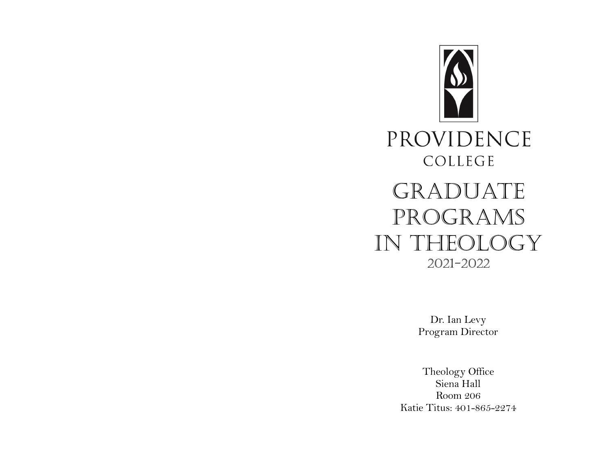

Dr. Ian Levy Program Director

Theology Office Siena Hall Room 206 Katie Titus: 401-865-2274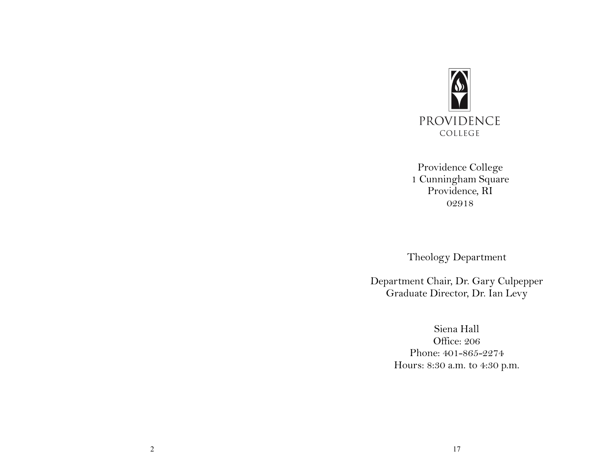

Providence College 1 Cunningham Square Providence, RI 02918

Theology Department

Department Chair, Dr. Gary Culpepper Graduate Director, Dr. Ian Levy

> Siena Hall Office: 206 Phone: 401-865-2274 Hours: 8:30 a.m. to 4:30 p.m.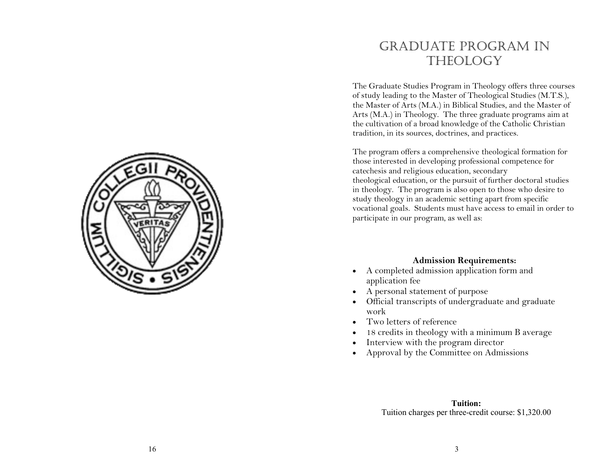

### Graduate program in **THEOLOGY**

The Graduate Studies Program in Theology offers three courses of study leading to the Master of Theological Studies (M.T.S.), the Master of Arts (M.A.) in Biblical Studies, and the Master of Arts (M.A.) in Theology. The three graduate programs aim at the cultivation of a broad knowledge of the Catholic Christian tradition, in its sources, doctrines, and practices.

The program offers a comprehensive theological formation for those interested in developing professional competence for catechesis and religious education, secondary theological education, or the pursuit of further doctoral studies in theology. The program is also open to those who desire to study theology in an academic setting apart from specific vocational goals. Students must have access to email in order to participate in our program, as well as:

#### **Admission Requirements:**

- A completed admission application form and application fee
- A personal statement of purpose
- Official transcripts of undergraduate and graduate work
- Two letters of reference
- 18 credits in theology with a minimum B average
- Interview with the program director
- Approval by the Committee on Admissions

**Tuition:** Tuition charges per three -credit course: \$1,320.00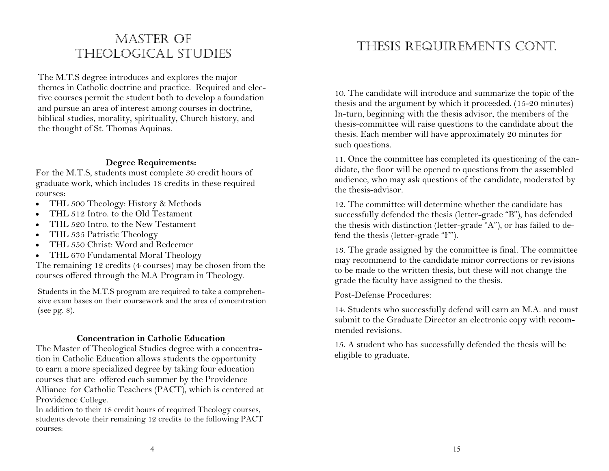### MASTER OF theological studies

The M.T.S degree introduces and explores the major themes in Catholic doctrine and practice. Required and elective courses permit the student both to develop a foundation and pursue an area of interest among courses in doctrine, biblical studies, morality, spirituality, Church history, and the thought of St. Thomas Aquinas.

#### **Degree Requirements:**

For the M.T.S, students must complete 30 credit hours of graduate work, which includes 18 credits in these required courses:

- THL 500 Theology: History & Methods
- THL 512 Intro. to the Old Testament
- THL 520 Intro. to the New Testament
- THL 535 Patristic Theology
- THL 550 Christ: Word and Redeemer
- THL 670 Fundamental Moral Theology

The remaining 12 credits (4 courses) may be chosen from the courses offered through the M.A Program in Theology.

Students in the M.T.S program are required to take a comprehensive exam bases on their coursework and the area of concentration (see pg. 8).

#### **Concentration in Catholic Education**

The Master of Theological Studies degree with a concentration in Catholic Education allows students the opportunity to earn a more specialized degree by taking four education courses that are offered each summer by the Providence Alliance for Catholic Teachers (PACT), which is centered at Providence College.

In addition to their 18 credit hours of required Theology courses, students devote their remaining 12 credits to the following PACT courses:

# Thesis Requirements Cont.

10. The candidate will introduce and summarize the topic of the thesis and the argument by which it proceeded. (15-20 minutes) In-turn, beginning with the thesis advisor, the members of the thesis-committee will raise questions to the candidate about the thesis. Each member will have approximately 20 minutes for such questions.

11. Once the committee has completed its questioning of the candidate, the floor will be opened to questions from the assembled audience, who may ask questions of the candidate, moderated by the thesis-advisor.

12. The committee will determine whether the candidate has successfully defended the thesis (letter-grade "B"), has defended the thesis with distinction (letter-grade "A"), or has failed to defend the thesis (letter-grade "F").

13. The grade assigned by the committee is final. The committee may recommend to the candidate minor corrections or revisions to be made to the written thesis, but these will not change the grade the faculty have assigned to the thesis.

#### Post-Defense Procedures:

14. Students who successfully defend will earn an M.A. and must submit to the Graduate Director an electronic copy with recommended revisions.

15. A student who has successfully defended the thesis will be eligible to graduate.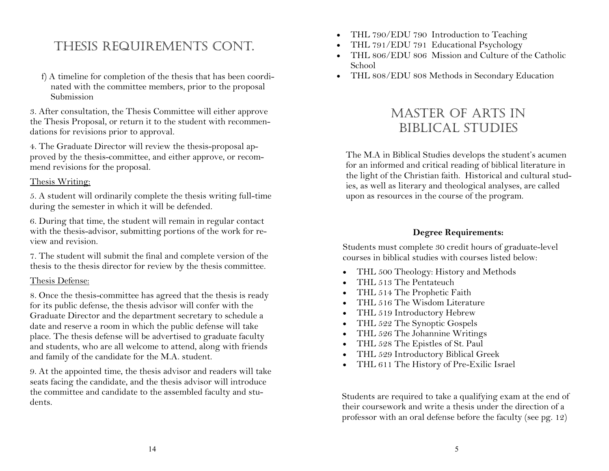# Thesis Requirements Cont.

 f) A timeline for completion of the thesis that has been coordi nated with the committee members, prior to the proposal Submission

3. After consultation, the Thesis Committee will either approve the Thesis Proposal, or return it to the student with recommendations for revisions prior to approval.

4. The Graduate Director will review the thesis-proposal approved by the thesis-committee, and either approve, or recommend revisions for the proposal.

#### Thesis Writing:

5. A student will ordinarily complete the thesis writing full-time during the semester in which it will be defended.

6. During that time, the student will remain in regular contact with the thesis-advisor, submitting portions of the work for review and revision.

7. The student will submit the final and complete version of the thesis to the thesis director for review by the thesis committee.

### Thesis Defense:

8. Once the thesis-committee has agreed that the thesis is ready for its public defense, the thesis advisor will confer with the Graduate Director and the department secretary to schedule a date and reserve a room in which the public defense will take place. The thesis defense will be advertised to graduate faculty and students, who are all welcome to attend, along with friends and family of the candidate for the M.A. student.

9. At the appointed time, the thesis advisor and readers will take seats facing the candidate, and the thesis advisor will introduce the committee and candidate to the assembled faculty and students.

- THL 790/EDU 790 Introduction to Teaching
- THL 791/EDU 791 Educational Psychology
- THL 806/EDU 806 Mission and Culture of the Catholic School
- THL 808/EDU 808 Methods in Secondary Education

### Master of arts in biblical studies

The M.A in Biblical Studies develops the student's acumen for an informed and critical reading of biblical literature in the light of the Christian faith. Historical and cultural studies, as well as literary and theological analyses, are called upon as resources in the course of the program.

### **Degree Requirements:**

Students must complete 30 credit hours of graduate-level courses in biblical studies with courses listed below:

- THL 500 Theology: History and Methods
- THL 513 The Pentateuch
- THL 514 The Prophetic Faith
- THL 516 The Wisdom Literature
- THL 519 Introductory Hebrew
- THL 522 The Synoptic Gospels
- THL 526 The Johannine Writings
- THL 528 The Epistles of St. Paul
- THL 529 Introductory Biblical Greek
- THL 611 The History of Pre-Exilic Israel

Students are required to take a qualifying exam at the end of their coursework and write a thesis under the direction of a professor with an oral defense before the faculty (see pg. 12)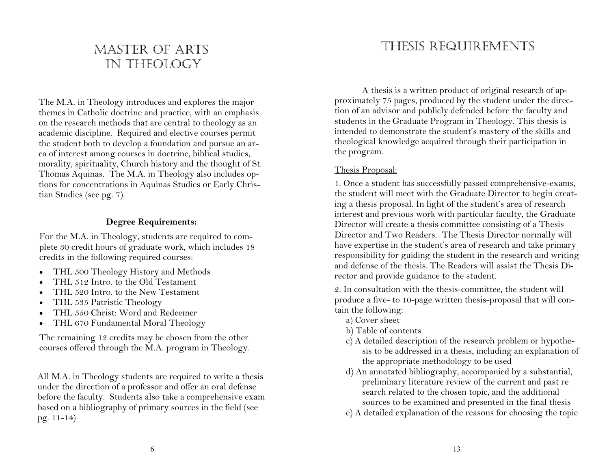### MASTER OF ARTS in theology

The M.A. in Theology introduces and explores the major themes in Catholic doctrine and practice, with an emphasis on the research methods that are central to theology as an academic discipline. Required and elective courses permit the student both to develop a foundation and pursue an area of interest among courses in doctrine, biblical studies, morality, spirituality, Church history and the thought of St. Thomas Aquinas. The M.A. in Theology also includes options for concentrations in Aquinas Studies or Early Christian Studies (see pg. 7).

#### **Degree Requirements:**

For the M.A. in Theology, students are required to complete 30 credit hours of graduate work, which includes 18 credits in the following required courses:

- THL 500 Theology History and Methods
- THL 512 Intro. to the Old Testament
- THL 520 Intro. to the New Testament
- THL 535 Patristic Theology
- THL 550 Christ: Word and Redeemer
- THL 670 Fundamental Moral Theology

The remaining 12 credits may be chosen from the other courses offered through the M.A. program in Theology.

All M.A. in Theology students are required to write a thesis under the direction of a professor and offer an oral defense before the faculty. Students also take a comprehensive exam based on a bibliography of primary sources in the field (see pg. 11-14)

# Thesis Requirements

A thesis is a written product of original research of approximately 75 pages, produced by the student under the direction of an advisor and publicly defended before the faculty and students in the Graduate Program in Theology. This thesis is intended to demonstrate the student's mastery of the skills and theological knowledge acquired through their participation in the program.

### Thesis Proposal:

1. Once a student has successfully passed comprehensive-exams, the student will meet with the Graduate Director to begin creating a thesis proposal. In light of the student's area of research interest and previous work with particular faculty, the Graduate Director will create a thesis committee consisting of a Thesis Director and Two Readers. The Thesis Director normally will have expertise in the student's area of research and take primary responsibility for guiding the student in the research and writing and defense of the thesis. The Readers will assist the Thesis Director and provide guidance to the student.

2. In consultation with the thesis-committee, the student will produce a five- to 10-page written thesis-proposal that will contain the following:

- a) Cover sheet
- b) Table of contents
- c) A detailed description of the research problem or hypothesis to be addressed in a thesis, including an explanation of the appropriate methodology to be used
- d) An annotated bibliography, accompanied by a substantial, preliminary literature review of the current and past re search related to the chosen topic, and the additional sources to be examined and presented in the final thesis
- e) A detailed explanation of the reasons for choosing the topic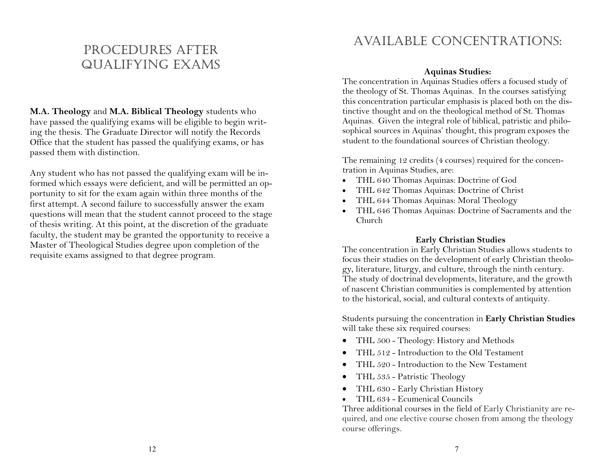### Procedures after Qualifying Exams

**M.A. Theology** and **M.A. Biblical Theology** students who have passed the qualifying exams will be eligible to begin writing the thesis. The Graduate Director will notify the Records Office that the student has passed the qualifying exams, or has passed them with distinction.

Any student who has not passed the qualifying exam will be informed which essays were deficient, and will be permitted an opportunity to sit for the exam again within three months of the first attempt. A second failure to successfully answer the exam questions will mean that the student cannot proceed to the stage of thesis writing. At this point, at the discretion of the graduate faculty, the student may be granted the opportunity to receive a Master of Theological Studies degree upon completion of the requisite exams assigned to that degree program.

### Available Concentrations:

#### **Aquinas Studies:**

The concentration in Aquinas Studies offers a focused study of the theology of St. Thomas Aquinas. In the courses satisfying this concentration particular emphasis is placed both on the distinctive thought and on the theological method of St. Thomas Aquinas. Given the integral role of biblical, patristic and philosophical sources in Aquinas' thought, this program exposes the student to the foundational sources of Christian theology.

The remaining 12 credits (4 courses) required for the concentration in Aquinas Studies, are:

- THL 640 Thomas Aquinas: Doctrine of God
- THL 642 Thomas Aquinas: Doctrine of Christ
- THL 644 Thomas Aquinas: Moral Theology
- THL 646 Thomas Aquinas: Doctrine of Sacraments and the Church

#### **Early Christian Studies**

The concentration in Early Christian Studies allows students to focus their studies on the development of early Christian theology, literature, liturgy, and culture, through the ninth century. The study of doctrinal developments, literature, and the growth of nascent Christian communities is complemented by attention to the historical, social, and cultural contexts of antiquity.

Students pursuing the concentration in **Early Christian Studies**  will take these six required courses:

- THL 500 Theology: History and Methods
- THL 512 Introduction to the Old Testament
- THL 520 Introduction to the New Testament
- THL 535 Patristic Theology
- THL 630 Early Christian History
- THL 634 Ecumenical Councils

Three additional courses in the field of Early Christianity are required, and one elective course chosen from among the theology course offerings.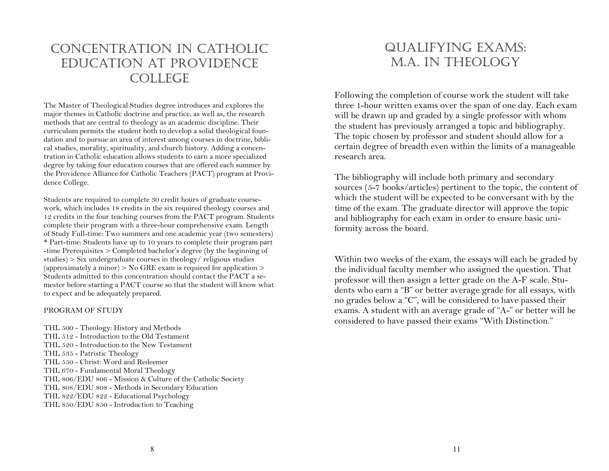### Concentration in Catholic Education at Providence COLLEGE

The Master of Theological Studies degree introduces and explores the major themes in Catholic doctrine and practice, as well as, the research methods that are central to theology as an academic discipline. Their curriculum permits the student both to develop a solid theological foundation and to pursue an area of interest among courses in doctrine, biblical studies, morality, spirituality, and church history. Adding a concentration in Catholic education allows students to earn a more specialized degree by taking four education courses that are offered each summer by the Providence Alliance for Catholic Teachers (PACT) program at Providence College.

Students are required to complete 30 credit hours of graduate coursework, which includes 18 credits in the six required theology courses and 12 credits in the four teaching courses from the PACT program. Students complete their program with a three-hour comprehensive exam. Length of Study Full-time: Two summers and one academic year (two semesters) \* Part-time: Students have up to 10 years to complete their program part -time Prerequisites > Completed bachelor's degree (by the beginning of studies) > Six undergraduate courses in theology/ religious studies (approximately a minor)  $>$  No GRE exam is required for application  $>$ Students admitted to this concentration should contact the PACT a semester before starting a PACT course so that the student will know what to expect and be adequately prepared.

#### PROGRAM OF STUDY

THL 500 - Theology: History and Methods THL 512 - Introduction to the Old Testament THL 520 - Introduction to the New Testament THL 535 - Patristic Theology THL 550 - Christ: Word and Redeemer THL 670 - Fundamental Moral Theology THL 806/EDU 806 - Mission & Culture of the Catholic Society THL 808/EDU 808 - Methods in Secondary Education THL 822/EDU 822 - Educational Psychology THL 850/EDU 850 - Introduction to Teaching

### Qualifying Exams: M.A. in Theology

Following the completion of course work the student will take three 1-hour written exams over the span of one day. Each exam will be drawn up and graded by a single professor with whom the student has previously arranged a topic and bibliography. The topic chosen by professor and student should allow for a certain degree of breadth even within the limits of a manageable research area.

The bibliography will include both primary and secondary sources (5-7 books/articles) pertinent to the topic, the content of which the student will be expected to be conversant with by the time of the exam. The graduate director will approve the topic and bibliography for each exam in order to ensure basic uniformity across the board.

Within two weeks of the exam, the essays will each be graded by the individual faculty member who assigned the question. That professor will then assign a letter grade on the A-F scale. Students who earn a "B" or better average grade for all essays, with no grades below a "C", will be considered to have passed their exams. A student with an average grade of "A-" or better will be considered to have passed their exams "With Distinction."